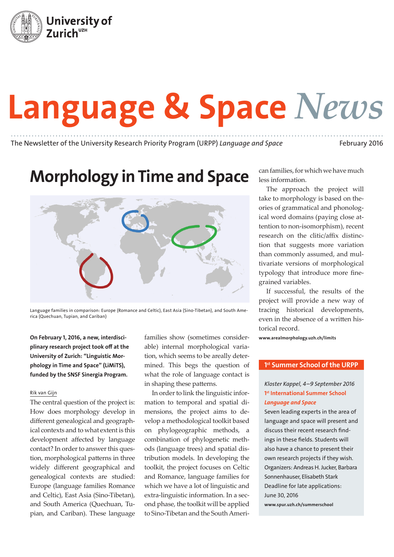

# Language & Space *News*

The Newsletter of the University Research Priority Program (URPP) *Language and Space* February 2016

## Morphology in Time and Space



Language families in comparison: Europe (Romance and Celtic), East Asia (Sino-Tibetan), and South America (Quechuan, Tupian, and Cariban)

On February 1, 2016, a new, interdisciplinary research project took off at the University of Zurich: "Linguistic Morphology in Time and Space" (LiMiTS), funded by the SNSF Sinergia Program.

#### Rik van Gijn

The central question of the project is: How does morphology develop in different genealogical and geographical contexts and to what extent is this development affected by language contact? In order to answer this question, morphological patterns in three widely different geographical and genealogical contexts are studied: Europe (language families Romance and Celtic), East Asia (Sino-Tibetan), and South America (Quechuan, Tupian, and Cariban). These language

families show (sometimes considerable) internal morphological variation, which seems to be areally determined. This begs the question of what the role of language contact is in shaping these patterns.

In order to link the linguistic information to temporal and spatial dimensions, the project aims to develop a methodological toolkit based on phylogeographic methods, a combination of phylogenetic methods (language trees) and spatial distribution models. In developing the toolkit, the project focuses on Celtic and Romance, language families for which we have a lot of linguistic and extra-linguistic information. In a second phase, the toolkit will be applied to Sino-Tibetan and the South American families, for which we have much less information.

The approach the project will take to morphology is based on theories of grammatical and phonological word domains (paying close attention to non-isomorphism), recent research on the clitic/affix distinction that suggests more variation than commonly assumed, and multivariate versions of morphological typology that introduce more finegrained variables.

If successful, the results of the project will provide a new way of tracing historical developments, even in the absence of a written historical record.

www.arealmorphology.uzh.ch/limits

#### 1st Summer School of the URPP

#### *Kloster Kappel, 4–9 September 2016* 1<sup>st</sup> International Summer School *Language and Space*

Seven leading experts in the area of language and space will present and discuss their recent research findings in these fields. Students will also have a chance to present their own research projects if they wish. Organizers: Andreas H. Jucker, Barbara Sonnenhauser, Elisabeth Stark Deadline for late applications: June 30, 2016

www.spur.uzh.ch/summerschool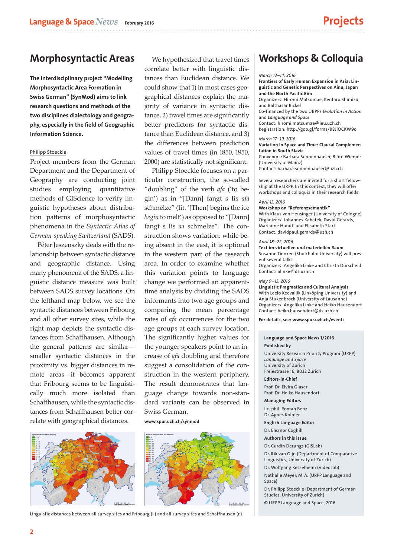## Morphosyntactic Areas

The interdisciplinary project "Modelling Morphosyntactic Area Formation in Swiss German" (SynMod) aims to link research questions and methods of the two disciplines dialectology and geography, especially in the field of Geographic Information Science.

#### Philipp Stoeckle

Project members from the German Department and the Department of Geography are conducting joint studies employing quantitative methods of GIScience to verify linguistic hypotheses about distribution patterns of morphosyntactic phenomena in the *Syntactic Atlas of German-speaking Switzerland* (SADS).

Péter Jeszenszky deals with the relationship between syntactic distance and geographic distance. Using many phenomena of the SADS, a linguistic distance measure was built between SADS survey locations. On the lefthand map below, we see the syntactic distances between Fribourg and all other survey sites, while the right map depicts the syntactic distances from Schaffhausen. Although the general patterns are similar smaller syntactic distances in the proximity vs. bigger distances in remote areas—it becomes apparent that Fribourg seems to be linguistically much more isolated than Schaffhausen, while the syntactic distances from Schaffhausen better correlate with geographical distances.



We hypothesized that travel times correlate better with linguistic distances than Euclidean distance. We could show that 1) in most cases geographical distances explain the majority of variance in syntactic distance, 2) travel times are significantly better predictors for syntactic distance than Euclidean distance, and 3) the differences between prediction values of travel times (in 1850, 1950, 2000) are statistically not significant.

Philipp Stoeckle focuses on a particular construction, the so-called "doubling" of the verb *afa* ('to begin') as in "[Dann] fangt s Iis *afa* schmelze" (lit. '[Then] begins the ice *begin* to melt') as opposed to "[Dann] fangt s Iis *aa* schmelze". The construction shows variation: while being absent in the east, it is optional in the western part of the research area. In order to examine whether this variation points to language change we performed an apparenttime analysis by dividing the SADS informants into two age groups and comparing the mean percentage rates of *afa* occurrences for the two age groups at each survey location. The significantly higher values for the younger speakers point to an increase of *afa* doubling and therefore suggest a consolidation of the construction in the western periphery. The result demonstrates that language change towards non-standard variants can be observed in Swiss German.

www.spur.uzh.ch/synmod



Linguistic distances between all survey sites and Fribourg (l.) and all survey sites and Schaffhausen (r.)

## Workshops & Colloquia

#### *March 13–14, 2016*

Frontiers of Early Human Expansion in Asia: Linguistic and Genetic Perspectives on Ainu, Japan and the North Pacific Rim

Organizers: Hiromi Matsumae, Kentaro Shimizu, and Balthasar Bickel

Co-financed by the two URPPs *Evolution in Action* and *Language and Space*

Contact: hiromi.matsumae@ieu.uzh.ch

Registration: http://goo.gl/forms/b8JiOCKW9o

#### *March 17–19, 2016*

Variation in Space and Time: Clausal Complementation in South Slavic

Convenors: Barbara Sonnenhauser, Björn Wiemer (University of Mainz)

Contact: barbara.sonnenhauser@uzh.ch

Several researchers are invited for a short fellowship at the URPP. In this context, they will offer workshops and colloquia in their research fields:

#### *April 15, 2016*

Workshop on "Referenzsemantik" With Klaus von Heusinger (University of Cologne) Organizers: Johannes Kabatek, David Gerards, Marianne Hundt, and Elisabeth Stark Contact: davidpaul.gerards@uzh.ch

#### *April 18–22, 2016*

Text im virtuellen und materiellen Raum Susanne Tienken (Stockholm University) will present several talks. Organizers: Angelika Linke and Christa Dürscheid Contact: alinke@ds.uzh.ch

#### *May 9–13, 2016*

Linguistic Pragmatics and Cultural Analysis With Leelo Keevallik (Linköping University) and Anja Stukenbrock (University of Lausanne) Organizers: Angelika Linke and Heiko Hausendorf Contact: heiko.hausendorf@ds.uzh.ch

For details, see: www.spur.uzh.ch/events

#### Language and Space News 1/2016 Published by

University Research Priority Program (URPP) *Language and Space* University of Zurich Freiestrasse 16, 8032 Zurich

Editors-in-Chief Prof. Dr. Elvira Glaser

Prof. Dr. Heiko Hausendorf Managing Editors

lic. phil. Roman Benz Dr. Agnes Kolmer

#### English Language Editor

Dr. Eleanor Coghill

Authors in this issue

Dr. Curdin Derungs (GISLab)

Dr. Rik van Gijn (Department of Comparative Linguistics, University of Zurich)

Dr. Wolfgang Kesselheim (VideoLab)

Nathalie Meyer, M. A. (URPP Language and Space)

Dr. Philipp Stoeckle (Department of German Studies, University of Zurich) © URPP Language and Space, 2016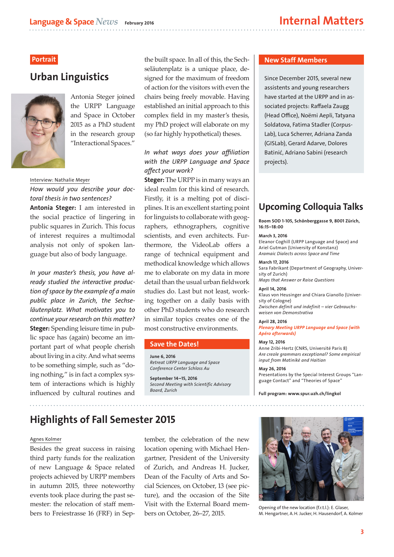## Urban Linguistics



Antonia Steger joined the URPP Language and Space in October 2015 as a PhD student in the research group "Interactional Spaces."

#### Interview: Nathalie Meyer

#### *How would you describe your doctoral thesis in two sentences?*

Antonia Steger: I am interested in the social practice of lingering in public squares in Zurich. This focus of interest requires a multimodal analysis not only of spoken language but also of body language.

*In your master's thesis, you have already studied the interactive production of space by the example of a main public place in Zurich, the Sechseläutenplatz. What motivates you to continue your research on this matter?* Steger: Spending leisure time in public space has (again) become an important part of what people cherish about living in a city. And what seems to be something simple, such as "doing nothing," is in fact a complex system of interactions which is highly influenced by cultural routines and

**Portrait** the built space. In all of this, the Sechseläutenplatz is a unique place, designed for the maximum of freedom of action for the visitors with even the chairs being freely movable. Having established an initial approach to this complex field in my master's thesis, my PhD project will elaborate on my (so far highly hypothetical) theses.

#### *In what ways does your affiliation with the URPP Language and Space affect your work?*

**Steger:** The URPP is in many ways an ideal realm for this kind of research. Firstly, it is a melting pot of disciplines. It is an excellent starting point for linguists to collaborate with geographers, ethnographers, cognitive scientists, and even architects. Furthermore, the VideoLab offers a range of technical equipment and methodical knowledge which allows me to elaborate on my data in more detail than the usual urban fieldwork studies do. Last but not least, working together on a daily basis with other PhD students who do research in similar topics creates one of the most constructive environments.

#### Save the Dates!

June 6, 2016 *Retreat URPP Language and Space Conference Center Schloss Au*

September 14–15, 2016 *Second Meeting with Scientific Advisory Board, Zurich*

#### New Staff Members

Since December 2015, several new assistents and young researchers have started at the URPP and in associated projects: Raffaela Zaugg (Head Office), Noëmi Aepli, Tatyana Soldatova, Fatima Stadler (Corpus-Lab), Luca Scherrer, Adriana Zanda (GISLab), Gerard Adarve, Dolores Batinić, Adriano Sabini (research projects).

## Upcoming Colloquia Talks

Room SOD 1-105, Schönberggasse 9, 8001 Zürich, 16:15–18:00

#### March 3, 2016

Eleanor Coghill (URPP Language and Space) and Ariel Gutman (University of Konstanz) *Aramaic Dialects across Space and Time*

March 17, 2016 Sara Fabrikant (Department of Geography, University of Zurich)

*Maps that Answer or Raise Questions*

#### April 14, 2016

Klaus von Heusinger and Chiara Gianollo (University of Cologne) *Zwischen definit und indefinit – vier Gebrauchs-*

*weisen von Demonstrativa*

April 28, 2016 *Plenary Meeting URPP Language and Space (with Apéro afterwards)*

#### May 12, 2016

Anne Zribi-Hertz (CNRS, Université Paris 8) *Are creole grammars exceptional? Some empirical input from Matinikè and Haitian*

May 26, 2016 Presentations by the Special Interest Groups "Language Contact" and "Theories of Space"

Full program: www.spur.uzh.ch/lingkol

## Highlights of Fall Semester 2015

#### Agnes Kolmer

Besides the great success in raising third party funds for the realization of new Language & Space related projects achieved by URPP members in autumn 2015, three noteworthy events took place during the past semester: the relocation of staff members to Freiestrasse 16 (FRF) in Sep-

tember, the celebration of the new location opening with Michael Hengartner, President of the University of Zurich, and Andreas H. Jucker, Dean of the Faculty of Arts and Social Sciences, on October, 13 (see picture), and the occasion of the Site Visit with the External Board members on October, 26–27, 2015.



Opening of the new location (f.r.t.l.): E. Glaser, M. Hengartner, A.H. Jucker, H. Hausendorf, A. Kolmer